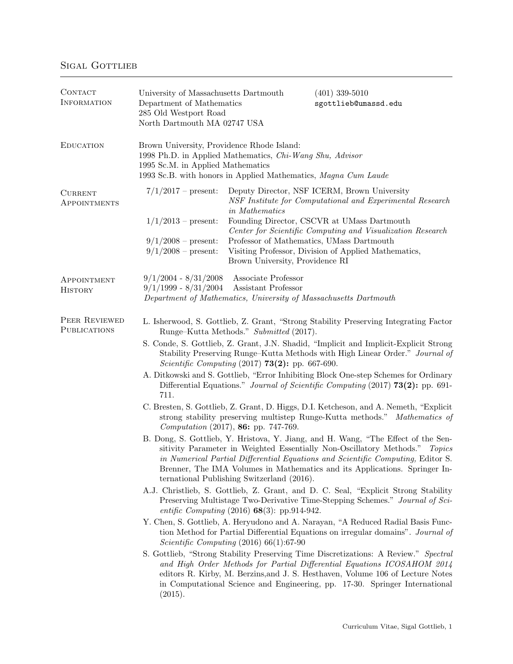| CONTACT<br><b>INFORMATION</b>        | University of Massachusetts Dartmouth<br>Department of Mathematics<br>285 Old Westport Road<br>North Dartmouth MA 02747 USA                                                                                                                                                                                                                                                                                                                                                                                                                                                                                                                                                                                                                                                                                                                                                                                                                                                                                                                                                                                                                                                                                                                                                                                                                                                                                                                                                                                                                                                                                                                                                                                                                                                                                                                                                                                                                                     |                                                                                                                | $(401)$ 339-5010<br>sgottlieb@umassd.edu                                                                                                                                                                                                                                       |
|--------------------------------------|-----------------------------------------------------------------------------------------------------------------------------------------------------------------------------------------------------------------------------------------------------------------------------------------------------------------------------------------------------------------------------------------------------------------------------------------------------------------------------------------------------------------------------------------------------------------------------------------------------------------------------------------------------------------------------------------------------------------------------------------------------------------------------------------------------------------------------------------------------------------------------------------------------------------------------------------------------------------------------------------------------------------------------------------------------------------------------------------------------------------------------------------------------------------------------------------------------------------------------------------------------------------------------------------------------------------------------------------------------------------------------------------------------------------------------------------------------------------------------------------------------------------------------------------------------------------------------------------------------------------------------------------------------------------------------------------------------------------------------------------------------------------------------------------------------------------------------------------------------------------------------------------------------------------------------------------------------------------|----------------------------------------------------------------------------------------------------------------|--------------------------------------------------------------------------------------------------------------------------------------------------------------------------------------------------------------------------------------------------------------------------------|
| <b>EDUCATION</b>                     | Brown University, Providence Rhode Island:<br>1998 Ph.D. in Applied Mathematics, Chi-Wang Shu, Advisor<br>1995 Sc.M. in Applied Mathematics<br>1993 Sc.B. with honors in Applied Mathematics, Magna Cum Laude                                                                                                                                                                                                                                                                                                                                                                                                                                                                                                                                                                                                                                                                                                                                                                                                                                                                                                                                                                                                                                                                                                                                                                                                                                                                                                                                                                                                                                                                                                                                                                                                                                                                                                                                                   |                                                                                                                |                                                                                                                                                                                                                                                                                |
| <b>CURRENT</b><br>APPOINTMENTS       | $7/1/2017$ – present:<br>$1/1/2013$ – present:<br>$9/1/2008$ – present:<br>$9/1/2008$ – present:                                                                                                                                                                                                                                                                                                                                                                                                                                                                                                                                                                                                                                                                                                                                                                                                                                                                                                                                                                                                                                                                                                                                                                                                                                                                                                                                                                                                                                                                                                                                                                                                                                                                                                                                                                                                                                                                | in Mathematics<br>Professor of Mathematics, UMass Dartmouth<br>Brown University, Providence RI                 | Deputy Director, NSF ICERM, Brown University<br>NSF Institute for Computational and Experimental Research<br>Founding Director, CSCVR at UMass Dartmouth<br>Center for Scientific Computing and Visualization Research<br>Visiting Professor, Division of Applied Mathematics, |
| APPOINTMENT<br><b>HISTORY</b>        | $9/1/2004 - 8/31/2008$<br>$9/1/1999 - 8/31/2004$                                                                                                                                                                                                                                                                                                                                                                                                                                                                                                                                                                                                                                                                                                                                                                                                                                                                                                                                                                                                                                                                                                                                                                                                                                                                                                                                                                                                                                                                                                                                                                                                                                                                                                                                                                                                                                                                                                                | Associate Professor<br>Assistant Professor<br>Department of Mathematics, University of Massachusetts Dartmouth |                                                                                                                                                                                                                                                                                |
| PEER REVIEWED<br><b>PUBLICATIONS</b> | L. Isherwood, S. Gottlieb, Z. Grant, "Strong Stability Preserving Integrating Factor"<br>Runge-Kutta Methods." Submitted (2017).<br>S. Conde, S. Gottlieb, Z. Grant, J.N. Shadid, "Implicit and Implicit-Explicit Strong<br>Stability Preserving Runge-Kutta Methods with High Linear Order." Journal of<br><i>Scientific Computing</i> (2017) <b>73(2):</b> pp. 667-690.<br>A. Ditkowski and S. Gottlieb, "Error Inhibiting Block One-step Schemes for Ordinary<br>Differential Equations." Journal of Scientific Computing (2017) 73(2): pp. 691-<br>711.<br>C. Bresten, S. Gottlieb, Z. Grant, D. Higgs, D.I. Ketcheson, and A. Nemeth, "Explicit"<br>strong stability preserving multistep Runge-Kutta methods." Mathematics of<br>Computation (2017), 86: pp. 747-769.<br>B. Dong, S. Gottlieb, Y. Hristova, Y. Jiang, and H. Wang, "The Effect of the Sen-<br>sitivity Parameter in Weighted Essentially Non-Oscillatory Methods." Topics<br>in Numerical Partial Differential Equations and Scientific Computing, Editor S.<br>Brenner, The IMA Volumes in Mathematics and its Applications. Springer In-<br>ternational Publishing Switzerland (2016).<br>A.J. Christlieb, S. Gottlieb, Z. Grant, and D. C. Seal, "Explicit Strong Stability<br>Preserving Multistage Two-Derivative Time-Stepping Schemes." Journal of Sci-<br>entific Computing $(2016)$ 68(3): pp.914-942.<br>Y. Chen, S. Gottlieb, A. Heryudono and A. Narayan, "A Reduced Radial Basis Func-<br>tion Method for Partial Differential Equations on irregular domains". Journal of<br><i>Scientific Computing</i> $(2016) 66(1):67-90$<br>S. Gottlieb, "Strong Stability Preserving Time Discretizations: A Review." Spectral<br>and High Order Methods for Partial Differential Equations ICOSAHOM 2014<br>editors R. Kirby, M. Berzins, and J. S. Hesthaven, Volume 106 of Lecture Notes<br>in Computational Science and Engineering, pp. 17-30. Springer International<br>(2015). |                                                                                                                |                                                                                                                                                                                                                                                                                |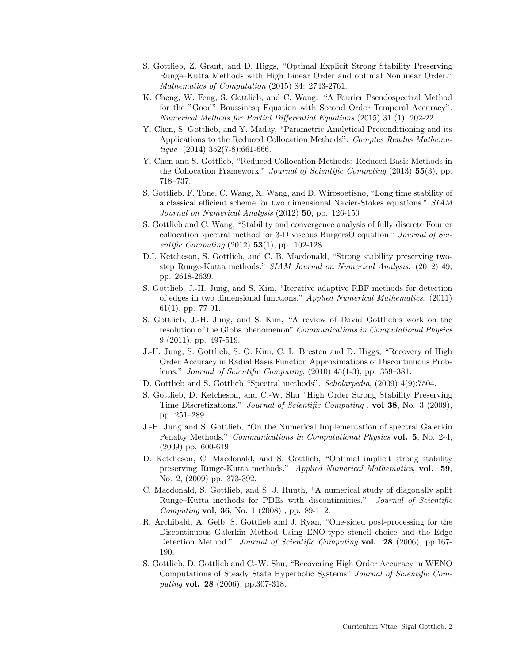- S. Gottlieb, Z. Grant, and D. Higgs, "Optimal Explicit Strong Stability Preserving Runge–Kutta Methods with High Linear Order and optimal Nonlinear Order." Mathematics of Computation (2015) 84: 2743-2761.
- K. Cheng, W. Feng, S. Gottlieb, and C. Wang. "A Fourier Pseudospectral Method for the "Good" Boussinesq Equation with Second Order Temporal Accuracy". Numerical Methods for Partial Differential Equations (2015) 31 (1), 202-22.
- Y. Chen, S. Gottlieb, and Y. Maday, "Parametric Analytical Preconditioning and its Applications to the Reduced Collocation Methods". Comptes Rendus Mathematique  $(2014)$  352(7-8):661-666.
- Y. Chen and S. Gottlieb, "Reduced Collocation Methods: Reduced Basis Methods in the Collocation Framework." Journal of Scientific Computing (2013) 55(3), pp. 718–737.
- S. Gottlieb, F. Tone, C. Wang, X. Wang, and D. Wirosoetisno, "Long time stability of a classical efficient scheme for two dimensional Navier-Stokes equations." SIAM Journal on Numerical Analysis (2012) **50**, pp. 126-150
- S. Gottlieb and C. Wang, "Stability and convergence analysis of fully discrete Fourier collocation spectral method for 3-D viscous BurgersO equation." Journal of Sci*entific Computing* (2012) **53**(1), pp. 102-128.
- D.I. Ketcheson, S. Gottlieb, and C. B. Macdonald, "Strong stability preserving twostep Runge-Kutta methods." SIAM Journal on Numerical Analysis. (2012) 49, pp. 2618-2639.
- S. Gottlieb, J.-H. Jung, and S. Kim, "Iterative adaptive RBF methods for detection of edges in two dimensional functions." Applied Numerical Mathematics. (2011) 61(1), pp. 77-91.
- S. Gottlieb, J.-H. Jung, and S. Kim, "A review of David Gottlieb's work on the resolution of the Gibbs phenomenon" Communications in Computational Physics 9 (2011), pp. 497-519.
- J.-H. Jung, S. Gottlieb, S. O. Kim, C. L. Bresten and D. Higgs, "Recovery of High Order Accuracy in Radial Basis Function Approximations of Discontinuous Problems." Journal of Scientific Computing, (2010) 45(1-3), pp. 359–381.
- D. Gottlieb and S. Gottlieb "Spectral methods". Scholarpedia, (2009) 4(9):7504.
- S. Gottlieb, D. Ketcheson, and C.-W. Shu "High Order Strong Stability Preserving Time Discretizations." Journal of Scientific Computing , vol 38, No. 3 (2009), pp. 251–289.
- J.-H. Jung and S. Gottlieb, "On the Numerical Implementation of spectral Galerkin Penalty Methods." Communications in Computational Physics vol. 5, No. 2-4, (2009) pp. 600-619
- D. Ketcheson, C. Macdonald, and S. Gottlieb, "Optimal implicit strong stability preserving Runge-Kutta methods." Applied Numerical Mathematics, vol. 59, No. 2, (2009) pp. 373-392.
- C. Macdonald, S. Gottlieb, and S. J. Ruuth, "A numerical study of diagonally split Runge–Kutta methods for PDEs with discontinuities." Journal of Scientific Computing vol, 36, No. 1 (2008) , pp. 89-112.
- R. Archibald, A. Gelb, S. Gottlieb and J. Ryan, "One-sided post-processing for the Discontinuous Galerkin Method Using ENO-type stencil choice and the Edge Detection Method." Journal of Scientific Computing vol. 28 (2006), pp.167- 190.
- S. Gottlieb, D. Gottlieb and C.-W. Shu, "Recovering High Order Accuracy in WENO Computations of Steady State Hyperbolic Systems" Journal of Scientific Computing vol. 28 (2006), pp.307-318.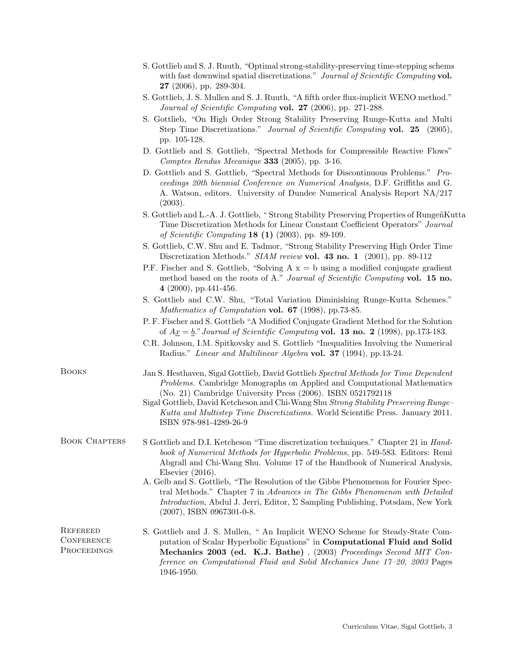|                                                     | with fast downwind spatial discretizations." Journal of Scientific Computing vol.<br>27 (2006), pp. 289-304.                                                                                                                                                                                                                                                                                                                       |
|-----------------------------------------------------|------------------------------------------------------------------------------------------------------------------------------------------------------------------------------------------------------------------------------------------------------------------------------------------------------------------------------------------------------------------------------------------------------------------------------------|
|                                                     | S. Gottlieb, J. S. Mullen and S. J. Ruuth, "A fifth order flux-implicit WENO method."<br>Journal of Scientific Computing vol. 27 (2006), pp. 271-288.                                                                                                                                                                                                                                                                              |
|                                                     | S. Gottlieb, "On High Order Strong Stability Preserving Runge-Kutta and Multi<br>Step Time Discretizations." Journal of Scientific Computing vol. 25 (2005),<br>pp. 105-128.                                                                                                                                                                                                                                                       |
|                                                     | D. Gottlieb and S. Gottlieb, "Spectral Methods for Compressible Reactive Flows"<br>Comptes Rendus Mecanique 333 (2005), pp. 3-16.                                                                                                                                                                                                                                                                                                  |
|                                                     | D. Gottlieb and S. Gottlieb, "Spectral Methods for Discontinuous Problems." Pro-<br>ceedings 20th biennial Conference on Numerical Analysis, D.F. Griffiths and G.<br>A. Watson, editors. University of Dundee Numerical Analysis Report NA/217<br>(2003).                                                                                                                                                                         |
|                                                     | S. Gottlieb and L.-A. J. Gottlieb, "Strong Stability Preserving Properties of RungeñKutta<br>Time Discretization Methods for Linear Constant Coefficient Operators" Journal<br>of Scientific Computing $18(1)(2003)$ , pp. 89-109.                                                                                                                                                                                                 |
|                                                     | S. Gottlieb, C.W. Shu and E. Tadmor, "Strong Stability Preserving High Order Time<br>Discretization Methods." SIAM review vol. 43 no. 1 (2001), pp. 89-112                                                                                                                                                                                                                                                                         |
|                                                     | P.F. Fischer and S. Gottlieb, "Solving $A x = b$ using a modified conjugate gradient<br>method based on the roots of A." Journal of Scientific Computing vol. 15 no.<br>4 (2000), pp. 441-456.                                                                                                                                                                                                                                     |
|                                                     | S. Gottlieb and C.W. Shu, "Total Variation Diminishing Runge-Kutta Schemes."<br>Mathematics of Computation vol. 67 (1998), pp.73-85.                                                                                                                                                                                                                                                                                               |
|                                                     | P. F. Fischer and S. Gottlieb "A Modified Conjugate Gradient Method for the Solution<br>of $Ax = b$ ." Journal of Scientific Computing vol. 13 no. 2 (1998), pp.173-183.                                                                                                                                                                                                                                                           |
|                                                     | C.R. Johnson, I.M. Spitkovsky and S. Gottlieb "Inequalities Involving the Numerical<br>Radius." Linear and Multilinear Algebra vol. 37 (1994), pp.13-24.                                                                                                                                                                                                                                                                           |
| <b>BOOKS</b>                                        | Jan S. Hesthaven, Sigal Gottlieb, David Gottlieb Spectral Methods for Time Dependent<br>Problems. Cambridge Monographs on Applied and Computational Mathematics<br>(No. 21) Cambridge University Press (2006). ISBN 0521792118<br>Sigal Gottlieb, David Ketcheson and Chi-Wang Shu Strong Stability Preserving Runge-<br>Kutta and Multistep Time Discretizations. World Scientific Press. January 2011.<br>ISBN 978-981-4289-26-9 |
| <b>BOOK CHAPTERS</b>                                | S Gottlieb and D.I. Ketcheson "Time discretization techniques." Chapter 21 in <i>Hand-</i><br>book of Numerical Methods for Hyperbolic Problems, pp. 549-583. Editors: Remi<br>Abgrall and Chi-Wang Shu. Volume 17 of the Handbook of Numerical Analysis,<br>Elsevier $(2016)$ .                                                                                                                                                   |
|                                                     | A. Gelb and S. Gottlieb, "The Resolution of the Gibbs Phenomenon for Fourier Spec-<br>tral Methods." Chapter 7 in Advances in The Gibbs Phenomenon with Detailed<br><i>Introduction</i> , Abdul J. Jerri, Editor, $\Sigma$ Sampling Publishing, Potsdam, New York<br>$(2007)$ , ISBN 0967301-0-8.                                                                                                                                  |
| <b>REFEREED</b><br><b>CONFERENCE</b><br>PROCEEDINGS | S. Gottlieb and J. S. Mullen, " An Implicit WENO Scheme for Steady-State Com-<br>putation of Scalar Hyperbolic Equations" in Computational Fluid and Solid<br>Mechanics 2003 (ed. K.J. Bathe), (2003) Proceedings Second MIT Con-<br>ference on Computational Fluid and Solid Mechanics June $17-20$ , 2003 Pages<br>1946-1950.                                                                                                    |

S. Gottlieb and S. J. Ruuth, "Optimal strong-stability-preserving time-stepping schems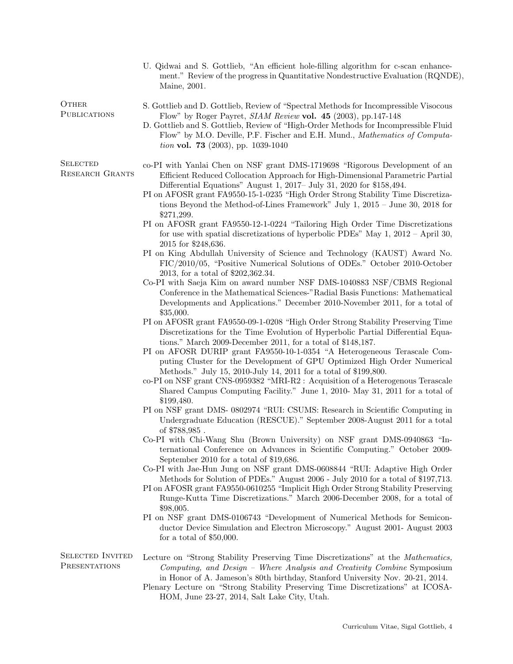U. Qidwai and S. Gottlieb, "An efficient hole-filling algorithm for c-scan enhancement." Review of the progress in Quantitative Nondestructive Evaluation (RQNDE), Maine, 2001.

**OTHER PUBLICATIONS** 

**SELECTED** 

- S. Gottlieb and D. Gottlieb, Review of "Spectral Methods for Incompressible Visocous Flow" by Roger Payret, SIAM Review vol. 45 (2003), pp.147-148
- D. Gottlieb and S. Gottlieb, Review of "High-Order Methods for Incompressible Fluid Flow" by M.O. Deville, P.F. Fischer and E.H. Mund., Mathematics of Computation vol. 73 (2003), pp. 1039-1040
- Research Grants co-PI with Yanlai Chen on NSF grant DMS-1719698 "Rigorous Development of an Efficient Reduced Collocation Approach for High-Dimensional Parametric Partial Differential Equations" August 1, 2017– July 31, 2020 for \$158,494.
	- PI on AFOSR grant FA9550-15-1-0235 "High Order Strong Stability Time Discretizations Beyond the Method-of-Lines Framework" July 1, 2015 – June 30, 2018 for \$271,299.
	- PI on AFOSR grant FA9550-12-1-0224 "Tailoring High Order Time Discretizations for use with spatial discretizations of hyperbolic PDEs" May 1, 2012 – April 30, 2015 for \$248,636.
	- PI on King Abdullah University of Science and Technology (KAUST) Award No. FIC/2010/05, "Positive Numerical Solutions of ODEs." October 2010-October 2013, for a total of \$202,362.34.
	- Co-PI with Saeja Kim on award number NSF DMS-1040883 NSF/CBMS Regional Conference in the Mathematical Sciences-"Radial Basis Functions: Mathematical Developments and Applications." December 2010-November 2011, for a total of \$35,000.
	- PI on AFOSR grant FA9550-09-1-0208 "High Order Strong Stability Preserving Time Discretizations for the Time Evolution of Hyperbolic Partial Differential Equations." March 2009-December 2011, for a total of \$148,187.
	- PI on AFOSR DURIP grant FA9550-10-1-0354 "A Heterogeneous Terascale Computing Cluster for the Development of GPU Optimized High Order Numerical Methods." July 15, 2010-July 14, 2011 for a total of \$199,800.
	- co-PI on NSF grant CNS-0959382 "MRI-R2 : Acquisition of a Heterogenous Terascale Shared Campus Computing Facility." June 1, 2010- May 31, 2011 for a total of \$199,480.
	- PI on NSF grant DMS- 0802974 "RUI: CSUMS: Research in Scientific Computing in Undergraduate Education (RESCUE)." September 2008-August 2011 for a total of \$788,985 .
	- Co-PI with Chi-Wang Shu (Brown University) on NSF grant DMS-0940863 "International Conference on Advances in Scientific Computing." October 2009- September 2010 for a total of \$19,686.
	- Co-PI with Jae-Hun Jung on NSF grant DMS-0608844 "RUI: Adaptive High Order Methods for Solution of PDEs." August 2006 - July 2010 for a total of \$197,713.
	- PI on AFOSR grant FA9550-0610255 "Implicit High Order Strong Stability Preserving Runge-Kutta Time Discretizations." March 2006-December 2008, for a total of \$98,005.
	- PI on NSF grant DMS-0106743 "Development of Numerical Methods for Semiconductor Device Simulation and Electron Microscopy." August 2001- August 2003 for a total of \$50,000.
- Selected Invited **PRESENTATIONS** 
	- Lecture on "Strong Stability Preserving Time Discretizations" at the Mathematics, Computing, and Design – Where Analysis and Creativity Combine Symposium in Honor of A. Jameson's 80th birthday, Stanford University Nov. 20-21, 2014.
		- Plenary Lecture on "Strong Stability Preserving Time Discretizations" at ICOSA-HOM, June 23-27, 2014, Salt Lake City, Utah.